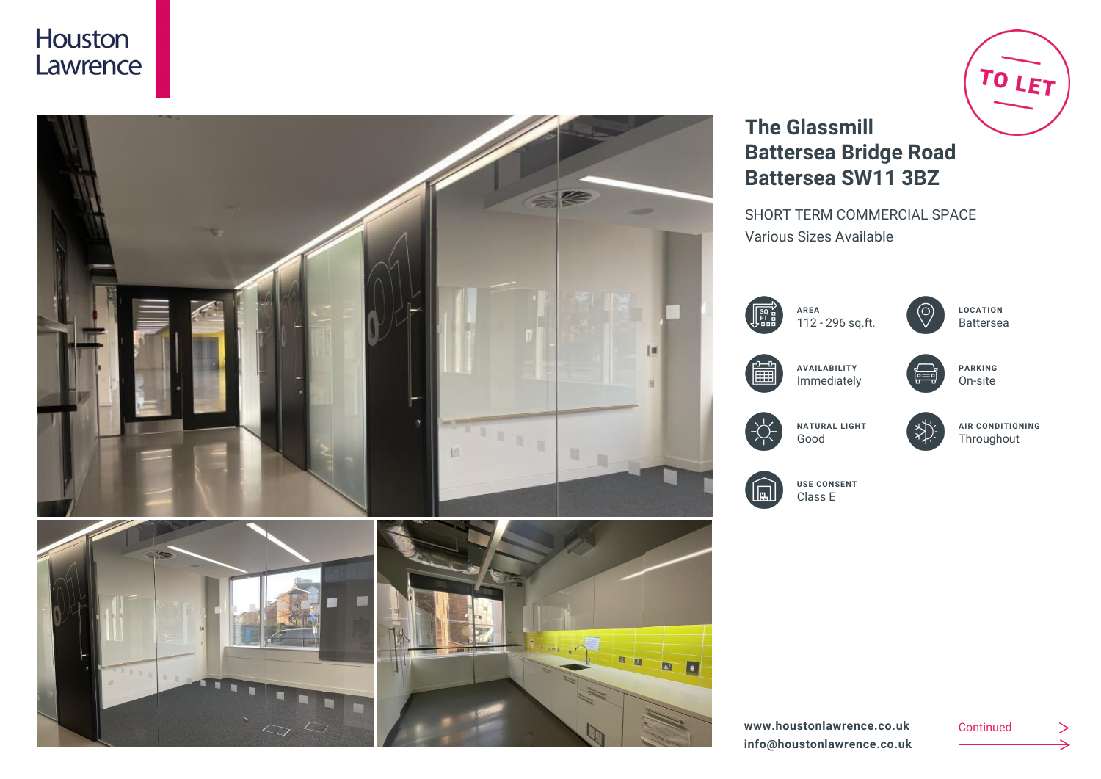



# TO LET

## **The Glassmill Battersea Bridge Road Battersea SW11 3BZ**

SHORT TERM COMMERCIAL SPACE Various Sizes Available







**LOCATION** Battersea



**AVAILABILITY** Immediately



 $\gg$ 

**PARKING** On-site



**NATURAL LIGHT** Good

**AIR CONDITIONING Throughout** 



**USE CONSENT** Class E

**www.houstonlawrence.co.uk info@houstonlawrence.co.uk**

Continued